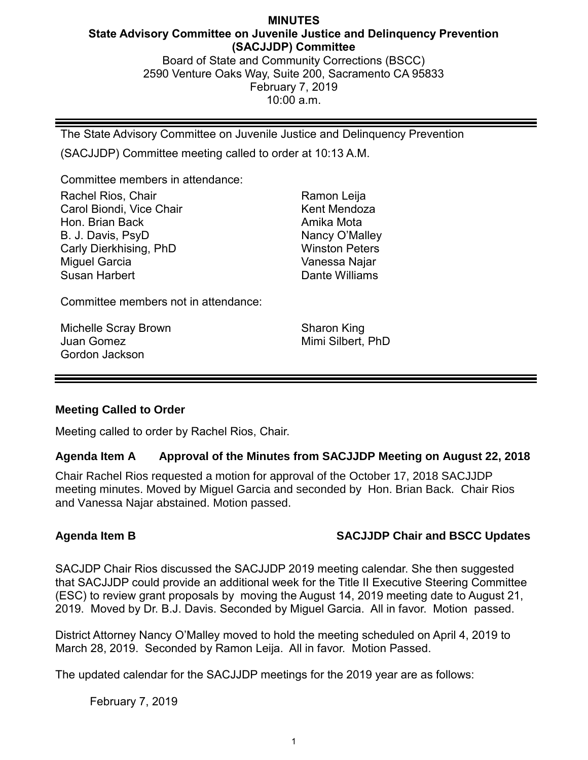## **MINUTES State Advisory Committee on Juvenile Justice and Delinquency Prevention (SACJJDP) Committee** Board of State and Community Corrections (BSCC) 2590 Venture Oaks Way, Suite 200, Sacramento CA 95833 February 7, 2019

10:00 a.m.

The State Advisory Committee on Juvenile Justice and Delinquency Prevention

(SACJJDP) Committee meeting called to order at 10:13 A.M.

Committee members in attendance:

Rachel Rios, Chair Carol Biondi, Vice Chair Hon. Brian Back B. J. Davis, PsyD Carly Dierkhising, PhD Miguel Garcia Susan Harbert

Ramon Leija Kent Mendoza Amika Mota Nancy O'Malley Winston Peters Vanessa Najar Dante Williams

Committee members not in attendance:

Michelle Scray Brown Juan Gomez Gordon Jackson

Sharon King Mimi Silbert, PhD

## **Meeting Called to Order**

Meeting called to order by Rachel Rios, Chair.

## **Agenda Item A Approval of the Minutes from SACJJDP Meeting on August 22, 2018**

Chair Rachel Rios requested a motion for approval of the October 17, 2018 SACJJDP meeting minutes. Moved by Miguel Garcia and seconded by Hon. Brian Back. Chair Rios and Vanessa Najar abstained. Motion passed.

# **Agenda Item B SACJJDP Chair and BSCC Updates**

SACJDP Chair Rios discussed the SACJJDP 2019 meeting calendar. She then suggested that SACJJDP could provide an additional week for the Title II Executive Steering Committee (ESC) to review grant proposals by moving the August 14, 2019 meeting date to August 21, 2019. Moved by Dr. B.J. Davis. Seconded by Miguel Garcia. All in favor. Motion passed.

District Attorney Nancy O'Malley moved to hold the meeting scheduled on April 4, 2019 to March 28, 2019. Seconded by Ramon Leija. All in favor. Motion Passed.

The updated calendar for the SACJJDP meetings for the 2019 year are as follows:

February 7, 2019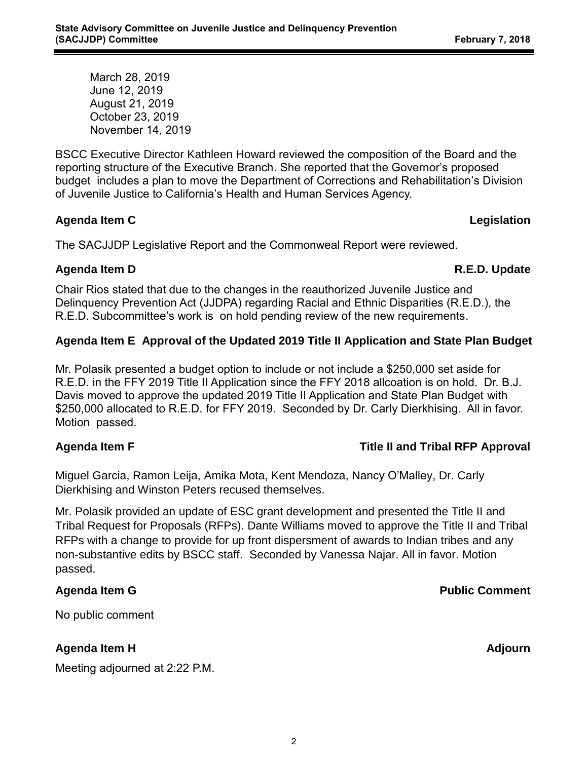March 28, 2019 June 12, 2019 August 21, 2019 October 23, 2019 November 14, 2019

BSCC Executive Director Kathleen Howard reviewed the composition of the Board and the reporting structure of the Executive Branch. She reported that the Governor's proposed budget includes a plan to move the Department of Corrections and Rehabilitation's Division of Juvenile Justice to California's Health and Human Services Agency.

## **Agenda Item C Legislation**

The SACJJDP Legislative Report and the Commonweal Report were reviewed.

## **Agenda Item D R.E.D. Update**

Chair Rios stated that due to the changes in the reauthorized Juvenile Justice and Delinquency Prevention Act (JJDPA) regarding Racial and Ethnic Disparities (R.E.D.), the R.E.D. Subcommittee's work is on hold pending review of the new requirements.

## **Agenda Item E Approval of the Updated 2019 Title II Application and State Plan Budget**

Mr. Polasik presented a budget option to include or not include a \$250,000 set aside for R.E.D. in the FFY 2019 Title II Application since the FFY 2018 allcoation is on hold. Dr. B.J. Davis moved to approve the updated 2019 Title II Application and State Plan Budget with \$250,000 allocated to R.E.D. for FFY 2019. Seconded by Dr. Carly Dierkhising. All in favor. Motion passed.

## **Agenda Item F Title II and Tribal RFP Approval**

Miguel Garcia, Ramon Leija, Amika Mota, Kent Mendoza, Nancy O'Malley, Dr. Carly Dierkhising and Winston Peters recused themselves.

Mr. Polasik provided an update of ESC grant development and presented the Title II and Tribal Request for Proposals (RFPs). Dante Williams moved to approve the Title II and Tribal RFPs with a change to provide for up front dispersment of awards to Indian tribes and any non-substantive edits by BSCC staff. Seconded by Vanessa Najar. All in favor. Motion passed.

## **Agenda Item G Public Comment**

No public comment

# **Agenda Item H Adjourn**

Meeting adjourned at 2:22 P.M.